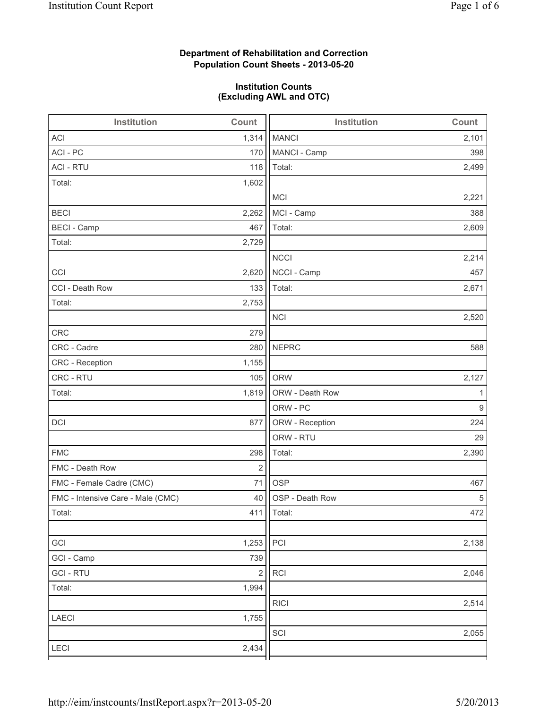## **Department of Rehabilitation and Correction Population Count Sheets - 2013-05-20**

## **Institution Counts (Excluding AWL and OTC)**

| Institution                       | Count      | <b>Institution</b> | Count |
|-----------------------------------|------------|--------------------|-------|
| <b>ACI</b>                        | 1,314      | <b>MANCI</b>       | 2,101 |
| ACI - PC                          | 170        | MANCI - Camp       | 398   |
| <b>ACI - RTU</b>                  | 118        | Total:             | 2,499 |
| Total:                            | 1,602      |                    |       |
|                                   |            | <b>MCI</b>         | 2,221 |
| <b>BECI</b>                       | 2,262      | MCI - Camp         | 388   |
| <b>BECI - Camp</b>                | 467        | Total:             | 2,609 |
| Total:                            | 2,729      |                    |       |
|                                   |            | <b>NCCI</b>        | 2,214 |
| CCI                               | 2,620      | NCCI - Camp        | 457   |
| CCI - Death Row                   | 133        | Total:             | 2,671 |
| Total:                            | 2,753      |                    |       |
|                                   |            | <b>NCI</b>         | 2,520 |
| <b>CRC</b>                        | 279        |                    |       |
| CRC - Cadre                       | 280        | <b>NEPRC</b>       | 588   |
| CRC - Reception                   | 1,155      |                    |       |
| CRC - RTU                         | 105        | <b>ORW</b>         | 2,127 |
| Total:                            | 1,819      | ORW - Death Row    | 1     |
|                                   |            | ORW - PC           | 9     |
| DCI                               | 877        | ORW - Reception    | 224   |
|                                   |            | ORW - RTU          | 29    |
| <b>FMC</b>                        | 298        | Total:             | 2,390 |
| FMC - Death Row                   | $\sqrt{2}$ |                    |       |
| FMC - Female Cadre (CMC)          | 71         | <b>OSP</b>         | 467   |
| FMC - Intensive Care - Male (CMC) | 40         | OSP - Death Row    | 5     |
| Total:                            |            | 411   Total:       | 472   |
|                                   |            |                    |       |
| GCI                               | 1,253      | PCI                | 2,138 |
| GCI - Camp                        | 739        |                    |       |
| <b>GCI-RTU</b>                    | $\sqrt{2}$ | RCI                | 2,046 |
| Total:                            | 1,994      |                    |       |
|                                   |            | <b>RICI</b>        | 2,514 |
| LAECI                             | 1,755      |                    |       |
|                                   |            | SCI                | 2,055 |
| LECI                              | 2,434      |                    |       |
|                                   |            |                    |       |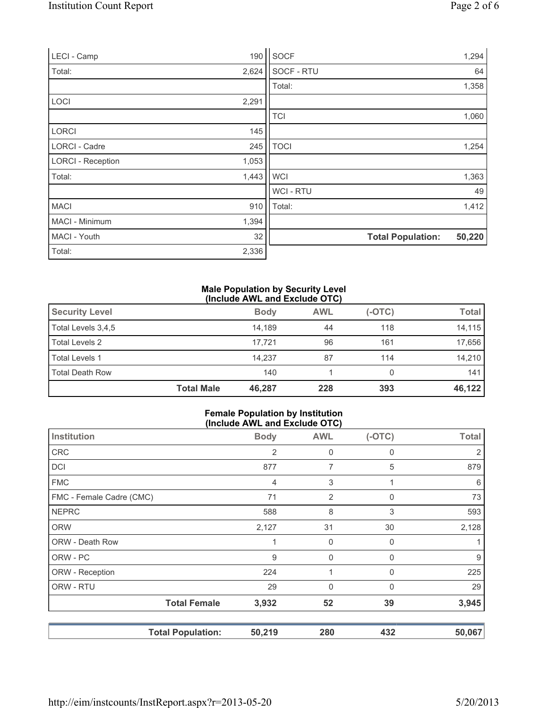| LECI - Camp              | 190   | SOCF           |                          | 1,294  |
|--------------------------|-------|----------------|--------------------------|--------|
| Total:                   | 2,624 | SOCF - RTU     |                          | 64     |
|                          |       | Total:         |                          | 1,358  |
| LOCI                     | 2,291 |                |                          |        |
|                          |       | <b>TCI</b>     |                          | 1,060  |
| <b>LORCI</b>             | 145   |                |                          |        |
| <b>LORCI - Cadre</b>     | 245   | <b>TOCI</b>    |                          | 1,254  |
| <b>LORCI - Reception</b> | 1,053 |                |                          |        |
| Total:                   | 1,443 | <b>WCI</b>     |                          | 1,363  |
|                          |       | <b>WCI-RTU</b> |                          | 49     |
| <b>MACI</b>              | 910   | Total:         |                          | 1,412  |
| MACI - Minimum           | 1,394 |                |                          |        |
| MACI - Youth             | 32    |                | <b>Total Population:</b> | 50,220 |
| Total:                   | 2,336 |                |                          |        |

## **Male Population by Security Level (Include AWL and Exclude OTC)**

| <b>Security Level</b>  |                   | <b>Body</b> | <b>AWL</b> | $(-OTC)$ | <b>Total</b> |
|------------------------|-------------------|-------------|------------|----------|--------------|
| Total Levels 3,4,5     |                   | 14.189      | 44         | 118      | 14,115       |
| Total Levels 2         |                   | 17.721      | 96         | 161      | 17,656       |
| <b>Total Levels 1</b>  |                   | 14.237      | 87         | 114      | 14,210       |
| <b>Total Death Row</b> |                   | 140         |            |          | 1411         |
|                        | <b>Total Male</b> | 46,287      | 228        | 393      | 46,122       |

## **Female Population by Institution (Include AWL and Exclude OTC)**

|                          | $(1101446$ Arre and Explans $\bullet$ 1.8 |                |              |              |
|--------------------------|-------------------------------------------|----------------|--------------|--------------|
| Institution              | <b>Body</b>                               | <b>AWL</b>     | $(-OTC)$     | <b>Total</b> |
| <b>CRC</b>               | 2                                         | 0              | 0            |              |
| DCI                      | 877                                       | 7              | 5            | 879          |
| <b>FMC</b>               | 4                                         | 3              |              | 6            |
| FMC - Female Cadre (CMC) | 71                                        | $\overline{2}$ | $\mathbf{0}$ | 73           |
| <b>NEPRC</b>             | 588                                       | 8              | 3            | 593          |
| <b>ORW</b>               | 2,127                                     | 31             | 30           | 2,128        |
| ORW - Death Row          | 1                                         | 0              | $\mathbf{0}$ |              |
| ORW - PC                 | 9                                         | $\mathbf 0$    | $\mathbf{0}$ | 9            |
| ORW - Reception          | 224                                       |                | 0            | 225          |
| ORW - RTU                | 29                                        | $\mathbf 0$    | $\mathbf{0}$ | 29           |
| <b>Total Female</b>      | 3,932                                     | 52             | 39           | 3,945        |
| <b>Total Population:</b> | 50,219                                    | 280            | 432          | 50,067       |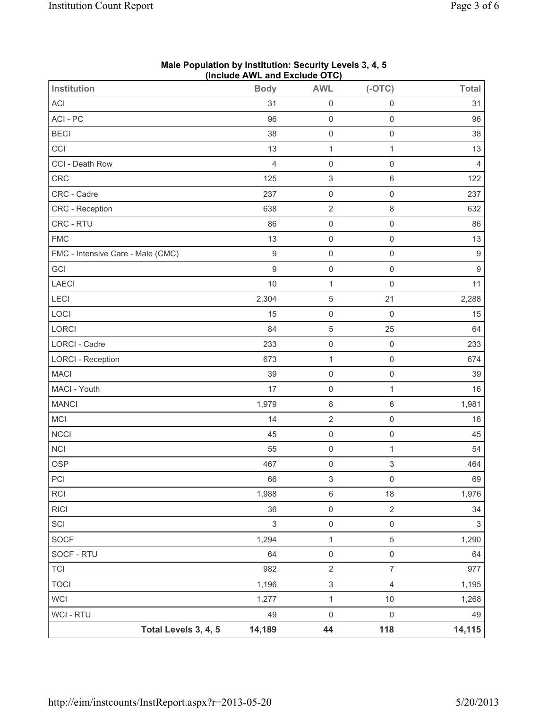| Institution                       | $\frac{1}{2}$<br><b>Body</b> | <b>AWL</b>                | $(-OTC)$                  | <b>Total</b>     |
|-----------------------------------|------------------------------|---------------------------|---------------------------|------------------|
| ACI                               | 31                           | $\mathsf{O}\xspace$       | $\mathsf{O}\xspace$       | 31               |
| ACI - PC                          | 96                           | $\mathsf{O}\xspace$       | $\mathsf 0$               | 96               |
| <b>BECI</b>                       | 38                           | $\mathsf{O}\xspace$       | $\mathsf 0$               | 38               |
| CCI                               | 13                           | $\mathbf{1}$              | 1                         | 13               |
| CCI - Death Row                   | $\overline{4}$               | $\mathsf{O}\xspace$       | $\mathbf 0$               | $\overline{4}$   |
| CRC                               | 125                          | $\ensuremath{\mathsf{3}}$ | 6                         | 122              |
| CRC - Cadre                       | 237                          | $\mathsf 0$               | 0                         | 237              |
| <b>CRC</b> - Reception            | 638                          | $\sqrt{2}$                | 8                         | 632              |
| CRC - RTU                         | 86                           | $\mathsf{O}\xspace$       | $\mathsf 0$               | 86               |
| <b>FMC</b>                        | 13                           | $\mathsf{O}\xspace$       | $\mathbf 0$               | 13               |
| FMC - Intensive Care - Male (CMC) | $9\,$                        | $\mathsf 0$               | $\mathsf 0$               | $\boldsymbol{9}$ |
| GCI                               | $\overline{9}$               | $\mathsf{O}\xspace$       | $\mathsf 0$               | $\boldsymbol{9}$ |
| <b>LAECI</b>                      | 10                           | $\mathbf 1$               | $\mathbf 0$               | 11               |
| LECI                              | 2,304                        | $\,$ 5 $\,$               | 21                        | 2,288            |
| LOCI                              | 15                           | $\mathsf{O}\xspace$       | $\mathbf 0$               | 15               |
| LORCI                             | 84                           | $\sqrt{5}$                | 25                        | 64               |
| LORCI - Cadre                     | 233                          | $\mathsf{O}\xspace$       | $\mathbf 0$               | 233              |
| <b>LORCI - Reception</b>          | 673                          | $\mathbf 1$               | $\mathsf 0$               | 674              |
| <b>MACI</b>                       | 39                           | $\mathsf{O}\xspace$       | $\mathsf{O}\xspace$       | 39               |
| MACI - Youth                      | 17                           | $\mathsf{O}\xspace$       | $\mathbf 1$               | 16               |
| <b>MANCI</b>                      | 1,979                        | $\,8\,$                   | 6                         | 1,981            |
| MCI                               | 14                           | $\sqrt{2}$                | $\mathsf 0$               | 16               |
| <b>NCCI</b>                       | 45                           | $\mathsf 0$               | $\mathsf 0$               | 45               |
| <b>NCI</b>                        | 55                           | $\mathsf{O}\xspace$       | 1                         | 54               |
| <b>OSP</b>                        | 467                          | $\mathsf 0$               | $\ensuremath{\mathsf{3}}$ | 464              |
| PCI                               | 66                           | $\ensuremath{\mathsf{3}}$ | $\mathsf{O}\xspace$       | 69               |
| RCI                               | 1,988                        | $\,6\,$                   | $18$                      | 1,976            |
| R C                               | 36                           | $\mathsf{O}\xspace$       | $\sqrt{2}$                | 34               |
| SCI                               | $\sqrt{3}$                   | $\mathsf{O}\xspace$       | $\mathsf 0$               | 3                |
| <b>SOCF</b>                       | 1,294                        | $\mathbf{1}$              | $\,$ 5 $\,$               | 1,290            |
| SOCF - RTU                        | 64                           | $\mathsf{O}\xspace$       | $\mathsf{O}\xspace$       | 64               |
| <b>TCI</b>                        | 982                          | $\sqrt{2}$                | $\overline{7}$            | 977              |
| <b>TOCI</b>                       | 1,196                        | $\ensuremath{\mathsf{3}}$ | 4                         | 1,195            |
| <b>WCI</b>                        | 1,277                        | $\mathbf{1}$              | 10                        | 1,268            |
| <b>WCI - RTU</b>                  | 49                           | $\mathsf 0$               | $\mathbf 0$               | 49               |
| Total Levels 3, 4, 5              | 14,189                       | 44                        | 118                       | 14,115           |

**Male Population by Institution: Security Levels 3, 4, 5 (Include AWL and Exclude OTC)**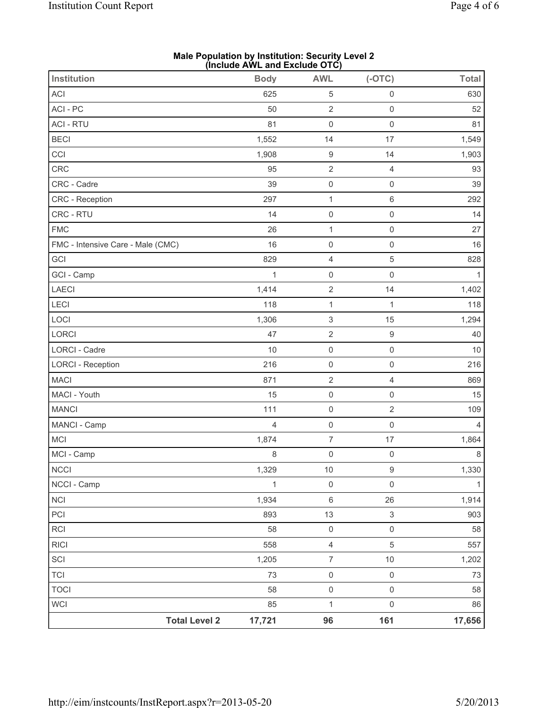| <b>Institution</b>                | (IIICIUUE AVVLI AIIIE EXCIUUE UIO)<br><b>Body</b> | <b>AWL</b>                | $(-OTC)$            | <b>Total</b>   |
|-----------------------------------|---------------------------------------------------|---------------------------|---------------------|----------------|
| ACI                               | 625                                               | $\,$ 5 $\,$               | $\mathsf{O}\xspace$ | 630            |
| ACI - PC                          | 50                                                | $\sqrt{2}$                | $\mathsf{O}\xspace$ | 52             |
| <b>ACI - RTU</b>                  | 81                                                | $\mathsf 0$               | $\mathsf{O}\xspace$ | 81             |
| <b>BECI</b>                       | 1,552                                             | 14                        | 17                  | 1,549          |
| CCI                               | 1,908                                             | $\boldsymbol{9}$          | 14                  | 1,903          |
| CRC                               | 95                                                | $\sqrt{2}$                | $\overline{4}$      | 93             |
| CRC - Cadre                       | 39                                                | $\mathsf 0$               | $\mathsf{O}\xspace$ | 39             |
| CRC - Reception                   | 297                                               | $\mathbf{1}$              | $\,6$               | 292            |
| CRC - RTU                         | 14                                                | $\mathsf 0$               | $\mathsf{O}\xspace$ | 14             |
| <b>FMC</b>                        | 26                                                | $\mathbf{1}$              | $\mathsf{O}\xspace$ | 27             |
| FMC - Intensive Care - Male (CMC) | 16                                                | $\mathsf{O}\xspace$       | $\mathsf{O}\xspace$ | 16             |
| GCI                               | 829                                               | $\overline{4}$            | $\sqrt{5}$          | 828            |
| GCI - Camp                        | $\mathbf 1$                                       | $\mathsf 0$               | $\mathsf{O}\xspace$ | $\mathbf{1}$   |
| LAECI                             | 1,414                                             | $\sqrt{2}$                | 14                  | 1,402          |
| LECI                              | 118                                               | $\mathbf{1}$              | $\mathbf{1}$        | 118            |
| LOCI                              | 1,306                                             | $\ensuremath{\mathsf{3}}$ | 15                  | 1,294          |
| LORCI                             | 47                                                | $\sqrt{2}$                | $\boldsymbol{9}$    | 40             |
| LORCI - Cadre                     | 10                                                | $\mathsf{O}\xspace$       | $\mathsf{O}\xspace$ | 10             |
| <b>LORCI - Reception</b>          | 216                                               | $\mathsf 0$               | $\mathsf{O}\xspace$ | 216            |
| <b>MACI</b>                       | 871                                               | $\sqrt{2}$                | $\overline{4}$      | 869            |
| MACI - Youth                      | 15                                                | $\mathsf 0$               | $\mathsf{O}\xspace$ | 15             |
| <b>MANCI</b>                      | 111                                               | $\mathsf 0$               | $\overline{2}$      | 109            |
| MANCI - Camp                      | $\overline{4}$                                    | $\mathsf{O}\xspace$       | $\mathsf{O}\xspace$ | $\overline{4}$ |
| <b>MCI</b>                        | 1,874                                             | $\overline{7}$            | 17                  | 1,864          |
| MCI - Camp                        | 8                                                 | $\mathsf 0$               | $\mathsf{O}\xspace$ | 8              |
| <b>NCCI</b>                       | 1,329                                             | 10                        | 9                   | 1,330          |
| NCCI - Camp                       | $\mathbf{1}$                                      | $\mathsf{O}\xspace$       | $\mathsf{O}\xspace$ | $\mathbf{1}$   |
| NCI                               | 1,934                                             | $\,6\,$                   | 26                  | 1,914          |
| PCI                               | 893                                               | 13                        | $\sqrt{3}$          | 903            |
| RCI                               | 58                                                | $\mathsf{O}\xspace$       | $\mathsf{O}\xspace$ | 58             |
| <b>RICI</b>                       | 558                                               | $\overline{4}$            | $\sqrt{5}$          | 557            |
| SCI                               | 1,205                                             | $\overline{7}$            | $10$                | 1,202          |
| <b>TCI</b>                        | 73                                                | $\mathsf{O}\xspace$       | $\mathsf{O}\xspace$ | 73             |
| <b>TOCI</b>                       | 58                                                | $\mathsf 0$               | $\mathsf{O}\xspace$ | 58             |
| <b>WCI</b>                        | 85                                                | $\mathbf{1}$              | $\mathsf{O}\xspace$ | 86             |
| <b>Total Level 2</b>              | 17,721                                            | 96                        | 161                 | 17,656         |

**Male Population by Institution: Security Level 2 (Include AWL and Exclude OTC)**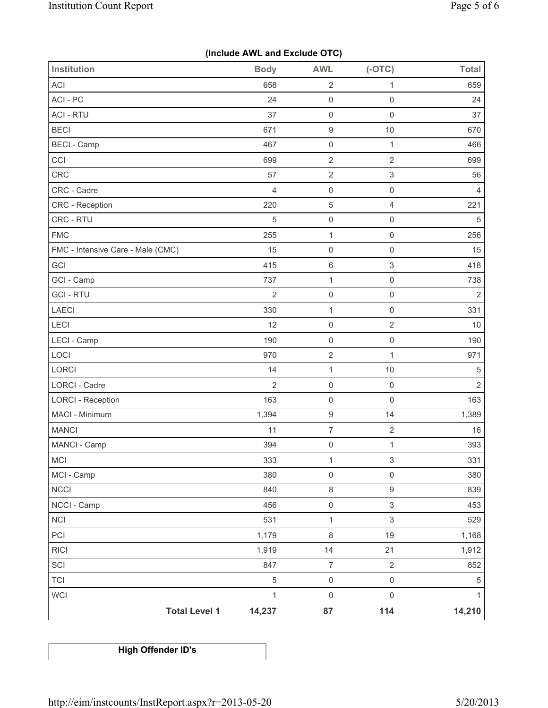|  |  |  | (Include AWL and Exclude OTC) |  |
|--|--|--|-------------------------------|--|
|--|--|--|-------------------------------|--|

| Institution                       | <b>Body</b>    | <b>AWL</b>          | $(-OTC)$                  | Total          |
|-----------------------------------|----------------|---------------------|---------------------------|----------------|
| ACI                               | 658            | 2                   | 1                         | 659            |
| ACI - PC                          | 24             | $\mathsf{O}\xspace$ | $\mathbf 0$               | 24             |
| <b>ACI - RTU</b>                  | 37             | $\mathsf{O}\xspace$ | $\mathsf 0$               | 37             |
| <b>BECI</b>                       | 671            | $\boldsymbol{9}$    | $10$                      | 670            |
| <b>BECI</b> - Camp                | 467            | $\mathsf{O}\xspace$ | $\mathbf{1}$              | 466            |
| CCI                               | 699            | $\sqrt{2}$          | $\sqrt{2}$                | 699            |
| <b>CRC</b>                        | 57             | $\sqrt{2}$          | $\ensuremath{\mathsf{3}}$ | 56             |
| CRC - Cadre                       | $\overline{4}$ | $\mathbf 0$         | $\mathsf{O}\xspace$       | $\overline{4}$ |
| CRC - Reception                   | 220            | 5                   | $\overline{4}$            | 221            |
| CRC - RTU                         | 5              | $\mathsf{O}\xspace$ | $\mathsf{O}\xspace$       | 5              |
| <b>FMC</b>                        | 255            | $\mathbf 1$         | $\mathbf 0$               | 256            |
| FMC - Intensive Care - Male (CMC) | 15             | $\mathsf 0$         | $\mathbf 0$               | 15             |
| GCI                               | 415            | $\,$ 6              | $\sqrt{3}$                | 418            |
| GCI - Camp                        | 737            | $\mathbf{1}$        | $\mathbf 0$               | 738            |
| <b>GCI-RTU</b>                    | $\overline{2}$ | $\mathsf{O}\xspace$ | $\mathsf{O}\xspace$       | $\overline{2}$ |
| <b>LAECI</b>                      | 330            | $\mathbf 1$         | $\mathsf{O}\xspace$       | 331            |
| LECI                              | 12             | $\mathbf 0$         | $\sqrt{2}$                | 10             |
| LECI - Camp                       | 190            | $\mathsf{O}\xspace$ | $\mathsf{O}\xspace$       | 190            |
| LOCI                              | 970            | $\overline{2}$      | $\mathbf{1}$              | 971            |
| LORCI                             | 14             | $\mathbf{1}$        | $10$                      | 5              |
| LORCI - Cadre                     | $\overline{2}$ | $\mathsf 0$         | $\mathbf 0$               | $\sqrt{2}$     |
| <b>LORCI - Reception</b>          | 163            | $\mathsf 0$         | $\mathbf 0$               | 163            |
| MACI - Minimum                    | 1,394          | $\boldsymbol{9}$    | 14                        | 1,389          |
| <b>MANCI</b>                      | 11             | $\boldsymbol{7}$    | $\sqrt{2}$                | 16             |
| MANCI - Camp                      | 394            | $\pmb{0}$           | 1                         | 393            |
| <b>MCI</b>                        | 333            | $\mathbf{1}$        | 3                         | 331            |
| MCI - Camp                        | 380            | $\mathsf 0$         | $\mathsf{O}\xspace$       | 380            |
| <b>NCCI</b>                       | 840            | $\,8\,$             | $\mathsf g$               | 839            |
| NCCI - Camp                       | 456            | $\mathsf{O}\xspace$ | $\mathfrak{S}$            | 453            |
| NCI                               | 531            | $\mathbf{1}$        | $\sqrt{3}$                | 529            |
| PCI                               | 1,179          | $\,8\,$             | 19                        | 1,168          |
| <b>RICI</b>                       | 1,919          | 14                  | 21                        | 1,912          |
| SCI                               | 847            | $\overline{7}$      | $\sqrt{2}$                | 852            |
| <b>TCI</b>                        | $\sqrt{5}$     | $\mathsf{O}\xspace$ | $\mathsf{O}\xspace$       | $\,$ 5 $\,$    |
| <b>WCI</b>                        | $\mathbf{1}$   | $\mathsf 0$         | $\mathsf{O}\xspace$       | 1              |
| <b>Total Level 1</b>              | 14,237         | 87                  | 114                       | 14,210         |

**High Offender ID's**